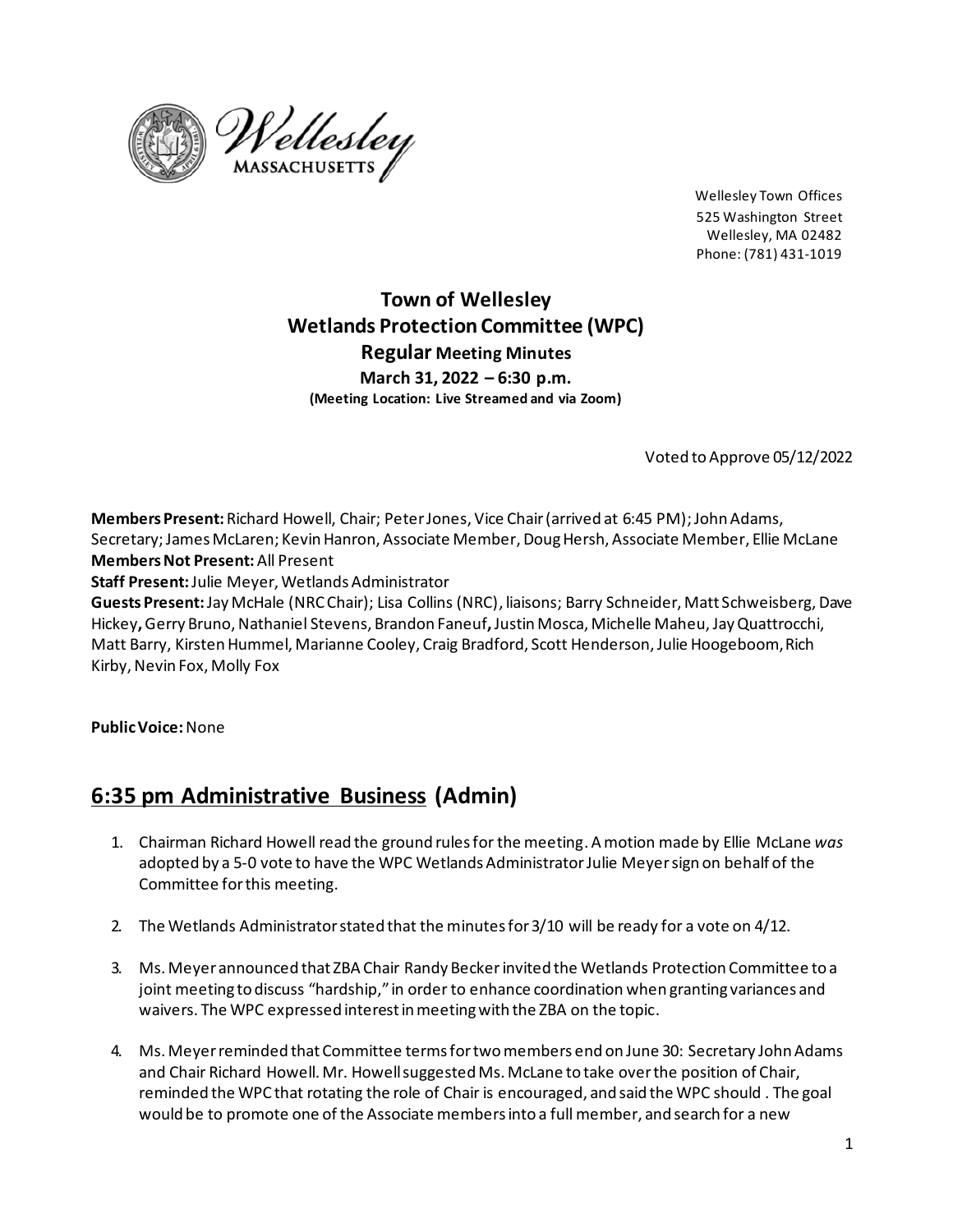

Wellesley Town Offices 525 Washington Street Wellesley, MA 02482 Phone: (781) 431‐1019

### **Town of Wellesley Wetlands Protection Committee (WPC) Regular Meeting Minutes March 31, 2022 – 6:30 p.m. (Meeting Location: Live Streamed and via Zoom)**

Voted to Approve 05/12/2022

**Members Present:** Richard Howell, Chair; Peter Jones, Vice Chair(arrived at 6:45 PM);John Adams, Secretary; James McLaren; Kevin Hanron, Associate Member, Doug Hersh, Associate Member, Ellie McLane **Members Not Present:**All Present

**Staff Present:** Julie Meyer, Wetlands Administrator

**Guests Present:**Jay McHale (NRC Chair); Lisa Collins (NRC), liaisons; Barry Schneider, Matt Schweisberg, Dave Hickey**,** Gerry Bruno, Nathaniel Stevens, Brandon Faneuf**,** Justin Mosca, Michelle Maheu, Jay Quattrocchi, Matt Barry, Kirsten Hummel, Marianne Cooley, Craig Bradford, Scott Henderson, Julie Hoogeboom, Rich Kirby, Nevin Fox, Molly Fox

**Public Voice:** None

## **6:35 pm Administrative Business (Admin)**

- 1. Chairman Richard Howell read the ground rules for the meeting. A motion made by Ellie McLane *was*  adopted by a 5-0 vote to have the WPC Wetlands Administrator Julie Meyersign on behalf of the Committee for this meeting.
- 2. The Wetlands Administrator stated that the minutes for 3/10 will be ready for a vote on 4/12.
- 3. Ms. Meyer announced that ZBA Chair Randy Becker invited the Wetlands Protection Committee to a joint meeting to discuss "hardship," in order to enhance coordination when granting variances and waivers. The WPC expressed interest in meeting with the ZBA on the topic.
- 4. Ms. Meyerreminded that Committee terms for twomembers end on June 30: Secretary John Adams and Chair Richard Howell. Mr. Howell suggested Ms. McLane to take over the position of Chair, reminded the WPC that rotating the role of Chair is encouraged, and said the WPC should . The goal would be to promote one of the Associate members into a full member, and search for a new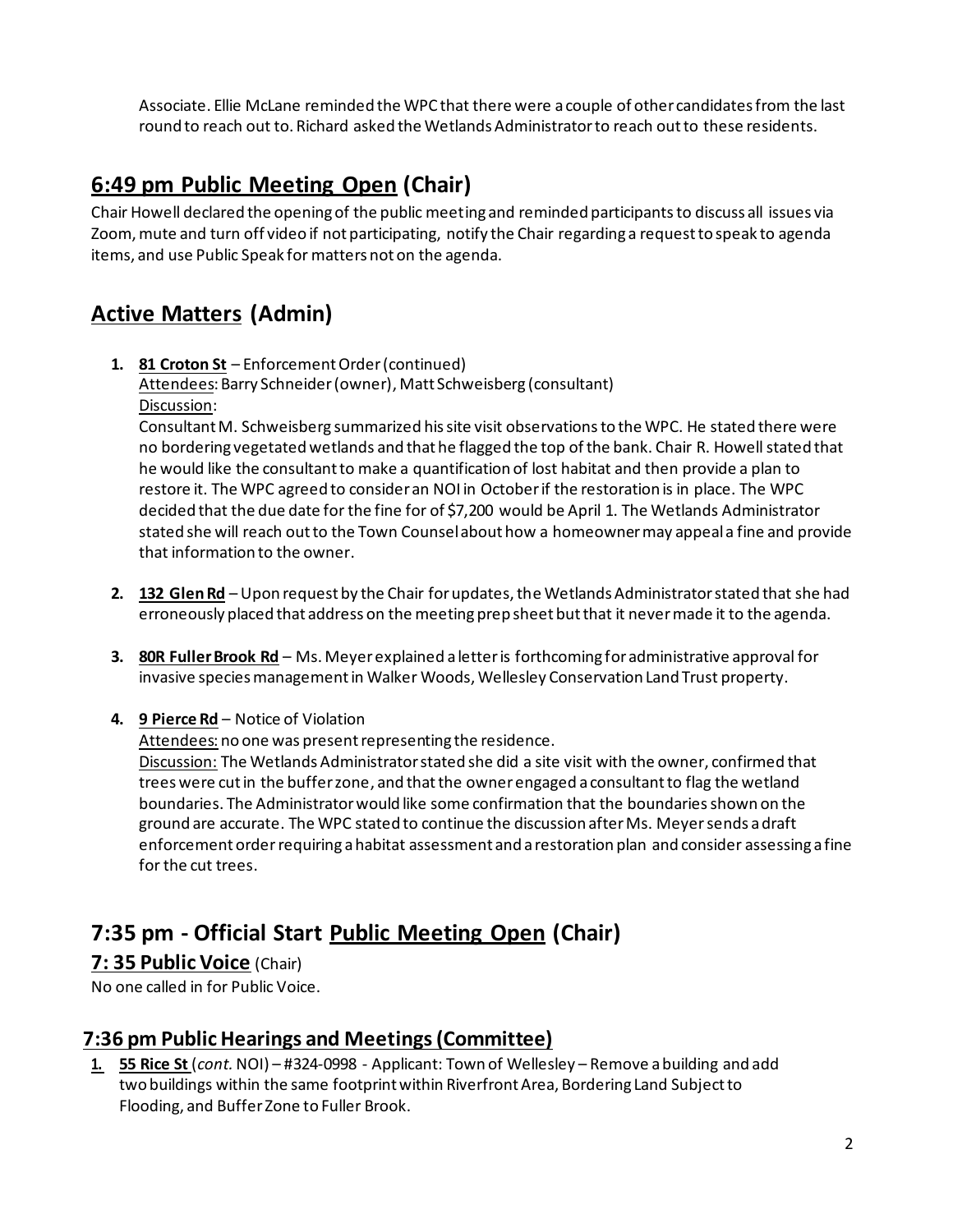Associate. Ellie McLane reminded the WPC that there were a couple of other candidates from the last round to reach out to. Richard asked the Wetlands Administrator to reach out to these residents.

## **6:49 pm Public Meeting Open (Chair)**

Chair Howell declared the opening of the public meeting and reminded participantsto discuss all issues via Zoom, mute and turn off video if not participating, notify the Chair regarding a request to speak to agenda items, and use Public Speak for matters not on the agenda.

# **Active Matters (Admin)**

**1. 81 Croton St** – Enforcement Order (continued) Attendees: Barry Schneider (owner), Matt Schweisberg (consultant) Discussion:

Consultant M. Schweisberg summarized his site visit observationsto the WPC. He stated there were no bordering vegetated wetlands and that he flagged the top of the bank. Chair R. Howell stated that he would like the consultant to make a quantification of lost habitat and then provide a plan to restore it. The WPC agreed to consider an NOI in October if the restoration is in place. The WPC decided that the due date for the fine for of \$7,200 would be April 1. The Wetlands Administrator stated she will reach out to the Town Counsel about how a homeowner may appeal a fine and provide that information to the owner.

- **2. 132 Glen Rd** Upon request by the Chair for updates, the Wetlands Administrator stated that she had erroneously placed that address on the meeting prep sheet but that it never made it to the agenda.
- **3. 80R Fuller Brook Rd** Ms. Meyer explained a letter is forthcoming for administrative approval for invasive species management in Walker Woods, Wellesley Conservation Land Trust property.
- **4. 9 Pierce Rd** Notice of Violation

Attendees: no one was present representing the residence.

Discussion: The Wetlands Administrator stated she did a site visit with the owner, confirmed that trees were cut in the buffer zone, and thatthe owner engaged a consultant to flag the wetland boundaries. The Administrator would like some confirmation that the boundaries shown on the ground are accurate. The WPC stated to continue the discussion after Ms. Meyersends a draft enforcement order requiring ahabitat assessment and a restoration plan and consider assessing a fine for the cut trees.

## **7:35 pm ‐ Official Start Public Meeting Open (Chair)**

### **7: 35 Public Voice** (Chair)

No one called in for Public Voice.

### **7:36 pm Public Hearings and Meetings (Committee)**

**1. 55 Rice St** (*cont.*NOI) – #324-0998 - Applicant: Town of Wellesley – Remove a building and add two buildings within the same footprint within Riverfront Area, Bordering Land Subject to Flooding, and Buffer Zone to Fuller Brook.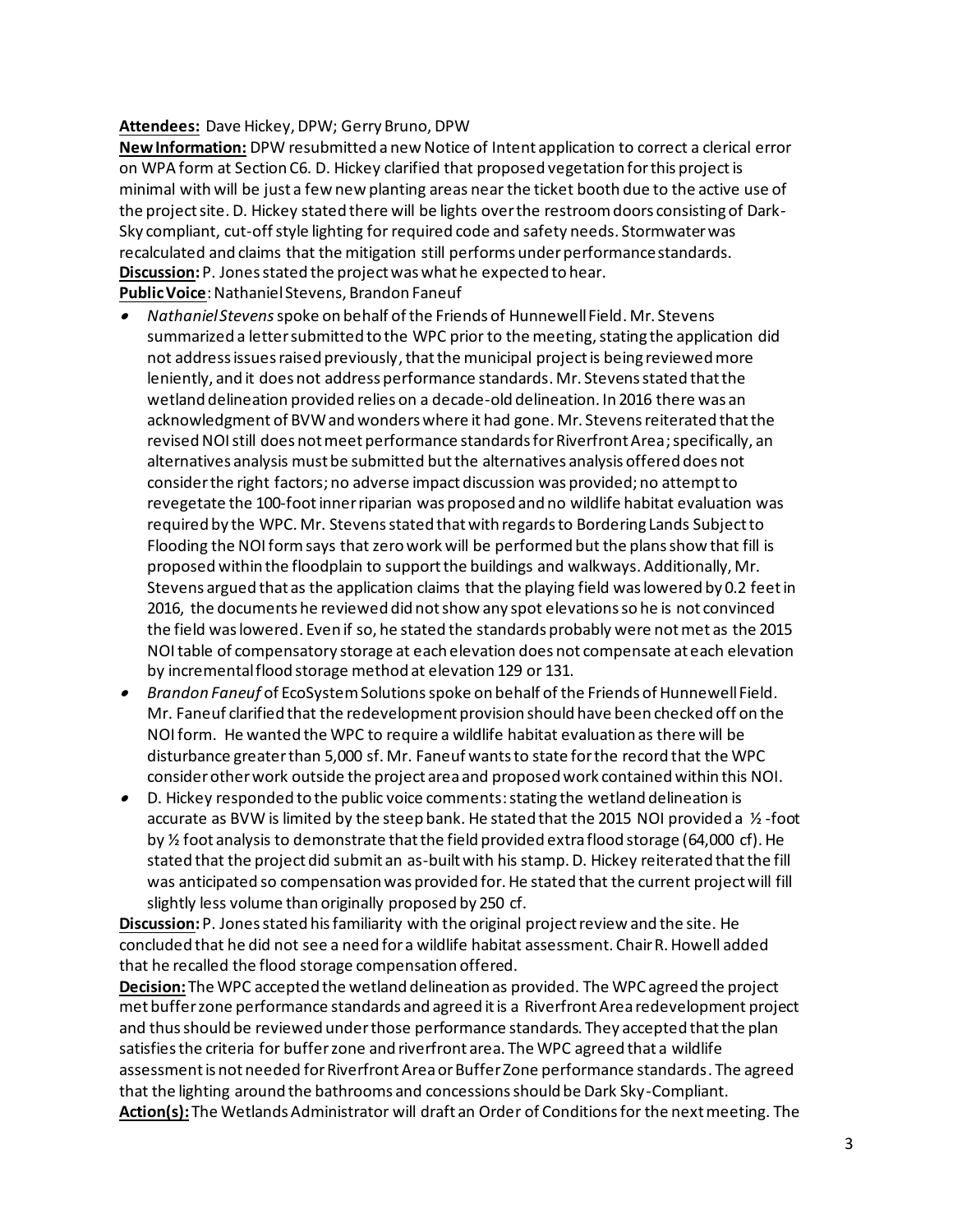#### **Attendees:** Dave Hickey, DPW; Gerry Bruno, DPW

**New Information:** DPW resubmitted a new Notice of Intent application to correct a clerical error on WPA form at Section C6. D. Hickey clarified that proposed vegetation for this project is minimal with will be just a few new planting areas near the ticket booth due to the active use of the project site. D. Hickey stated there will be lights over the restroom doors consisting of Dark-Sky compliant, cut-off style lighting for required code and safety needs. Stormwater was recalculated and claims that the mitigation still performs under performance standards. **Discussion:** P. Jones stated the project was what he expected to hear. **Public Voice**: Nathaniel Stevens, Brandon Faneuf

- • *Nathaniel Stevens*spoke on behalf of the Friends of Hunnewell Field. Mr. Stevens summarized a letter submitted to the WPC prior to the meeting, stating the application did not address issues raised previously, that the municipal project is being reviewed more leniently, and it does not address performance standards. Mr. Stevens stated that the wetland delineation provided relies on a decade-old delineation. In 2016 there was an acknowledgment of BVW and wonders where it had gone. Mr. Stevens reiterated that the revised NOI still does not meet performance standards for Riverfront Area; specifically, an alternatives analysis must be submitted butthe alternatives analysis offered does not consider the right factors; no adverse impact discussion was provided; no attempt to revegetate the 100-foot inner riparian was proposed and no wildlife habitat evaluation was required by the WPC. Mr. Stevens stated that with regards to Bordering Lands Subject to Flooding the NOI form says that zero work will be performed but the plans show that fill is proposed within the floodplain to support the buildings and walkways. Additionally, Mr. Stevens argued that as the application claims that the playing field was lowered by 0.2 feet in 2016, the documents he reviewed did not show any spot elevations so he is not convinced the field was lowered. Even if so, he stated the standards probably were not met as the 2015 NOI table of compensatory storage at each elevation does not compensate at each elevation by incremental flood storage method at elevation 129 or 131.
- • *Brandon Faneuf* of EcoSystem Solutions spoke on behalf of the Friends of Hunnewell Field. Mr. Faneuf clarified that the redevelopment provision should have been checked off on the NOI form. He wanted the WPC to require a wildlife habitat evaluation as there will be disturbance greater than 5,000 sf. Mr. Faneuf wants to state for the record that the WPC consider other work outside the project area and proposed work contained within this NOI.
- D. Hickey responded to the public voice comments: stating the wetland delineation is accurate as BVW is limited by the steep bank. He stated that the 2015 NOI provided a ½ -foot by ½ foot analysis to demonstrate that the field provided extra flood storage (64,000 cf). He stated that the project did submit an as-built with his stamp. D. Hickey reiterated that the fill was anticipated so compensation was provided for. He stated that the current project will fill slightly less volume than originally proposed by 250 cf.

**Discussion:** P. Jones stated his familiarity with the original project review and the site. He concluded that he did not see a need for a wildlife habitat assessment. Chair R. Howell added that he recalled the flood storage compensation offered.

**Decision:** The WPC accepted the wetland delineation as provided. The WPC agreed the project met buffer zone performance standards and agreed it is a Riverfront Area redevelopment project and thus should be reviewed under those performance standards. They accepted that the plan satisfies the criteria for buffer zone and riverfront area. The WPC agreed that a wildlife assessment is not needed for Riverfront Area or Buffer Zone performance standards. The agreed that the lighting around the bathrooms and concessions should be Dark Sky-Compliant. **Action(s):** The Wetlands Administrator will draft an Order of Conditions for the next meeting. The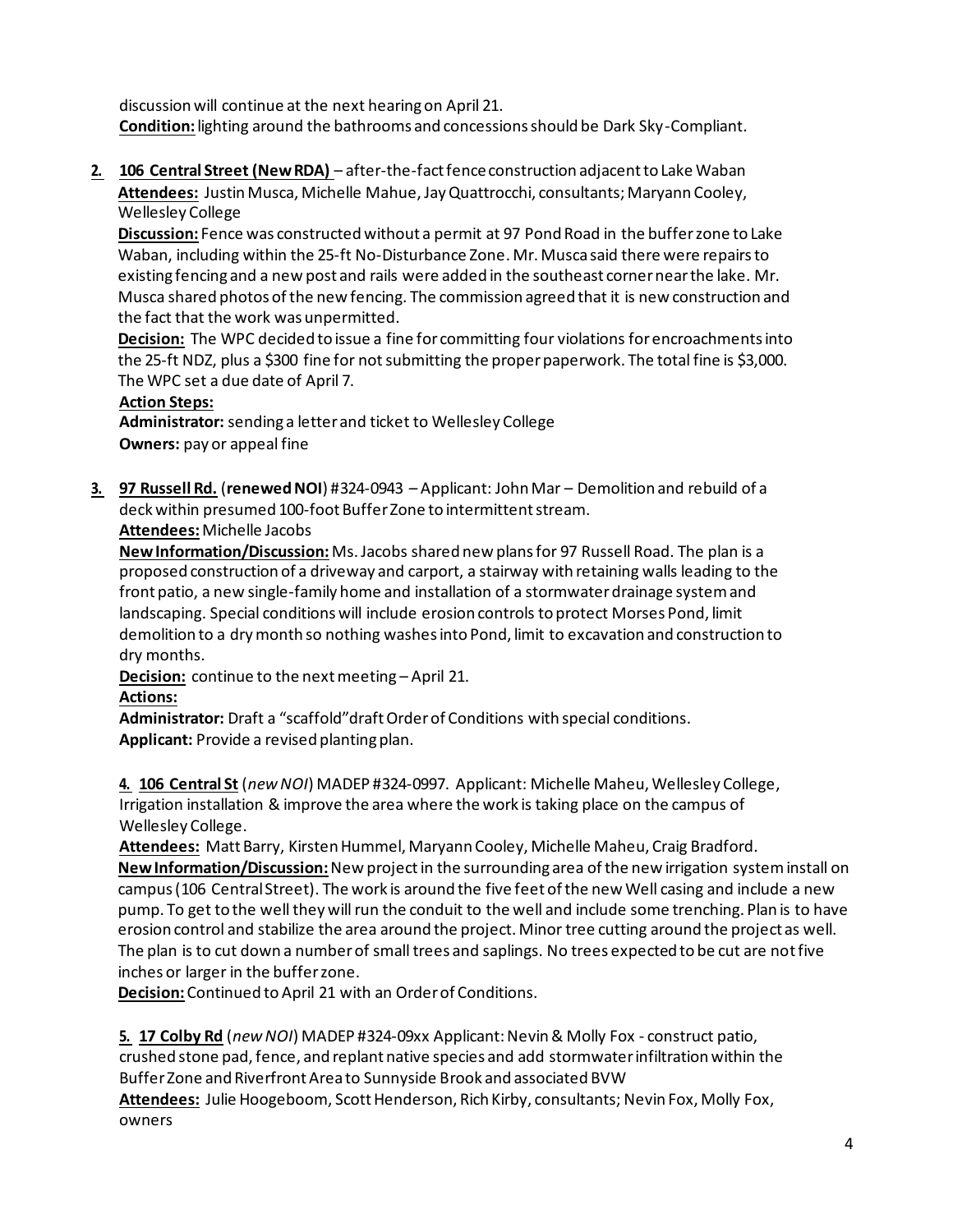discussion will continue at the next hearing on April 21. **Condition:**lighting around the bathrooms and concessions should be Dark Sky-Compliant.

**2. 106 Central Street (New RDA)** – after-the-fact fence construction adjacent to Lake Waban **Attendees:** Justin Musca, Michelle Mahue, Jay Quattrocchi, consultants; Maryann Cooley, Wellesley College

**Discussion:** Fence was constructed without a permit at 97 Pond Road in the buffer zone to Lake Waban, including within the 25-ft No-Disturbance Zone. Mr. Musca said there were repairs to existing fencing and a new post and rails were added in the southeast corner near the lake. Mr. Musca shared photos of the new fencing. The commission agreed that it is new construction and the fact that the work was unpermitted.

**Decision:** The WPC decided to issue a fine for committing four violations for encroachments into the 25-ft NDZ, plus a \$300 fine for not submitting the proper paperwork. The total fine is \$3,000. The WPC set a due date of April 7.

#### **Action Steps:**

**Administrator:** sending a letter and ticket to Wellesley College **Owners:** pay or appeal fine

**3. 97 Russell Rd.** (**renewed NOI**) #324-0943 – Applicant: John Mar – Demolition and rebuild of a deck within presumed 100-foot Buffer Zone to intermittent stream. **Attendees:**Michelle Jacobs

**New Information/Discussion:** Ms. Jacobs shared new plans for 97 Russell Road. The plan is a proposed construction of a driveway and carport, a stairway with retaining walls leading to the front patio, a new single-family home and installation of a stormwater drainage system and landscaping. Special conditions will include erosion controls to protect Morses Pond, limit demolition to a dry month so nothing washes into Pond, limit to excavation and construction to dry months.

**Decision:** continue to the next meeting – April 21.

**Actions:**

**Administrator:** Draft a "scaffold"draft Order of Conditions with special conditions. **Applicant:** Provide a revised planting plan.

**4. 106 Central St** (*new NOI*) MADEP #324-0997. Applicant: Michelle Maheu, Wellesley College, Irrigation installation & improve the area where the work is taking place on the campus of Wellesley College.

**Attendees:** Matt Barry, Kirsten Hummel, Maryann Cooley, Michelle Maheu, Craig Bradford. **New Information/Discussion:**New project in the surrounding area of the new irrigation system install on campus (106 Central Street). The work is around the five feet of the new Well casing and include a new pump. To get to the well they will run the conduit to the well and include some trenching. Plan is to have erosion control and stabilize the area around the project. Minor tree cutting around the project as well. The plan is to cut down a number of small trees and saplings. No trees expected to be cut are not five inches or larger in the buffer zone.

**Decision:**Continued to April 21 with an Order of Conditions.

**5. 17 Colby Rd** (*new NOI*) MADEP #324-09xx Applicant: Nevin & Molly Fox - construct patio, crushed stone pad, fence, and replant native species and add stormwater infiltration within the Buffer Zone and Riverfront Area to Sunnyside Brook and associated BVW

**Attendees:** Julie Hoogeboom, Scott Henderson, Rich Kirby, consultants; Nevin Fox, Molly Fox, owners